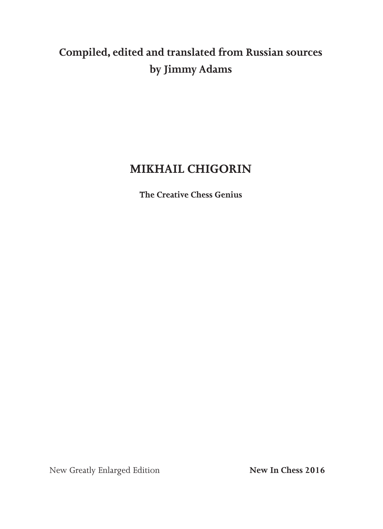# **Compiled, edited and translated from Russian sources by Jimmy Adams**

### **MIKHAIL CHIGORIN**

**The Creative Chess Genius**

New Greatly Enlarged Edition **New In Chess 2016**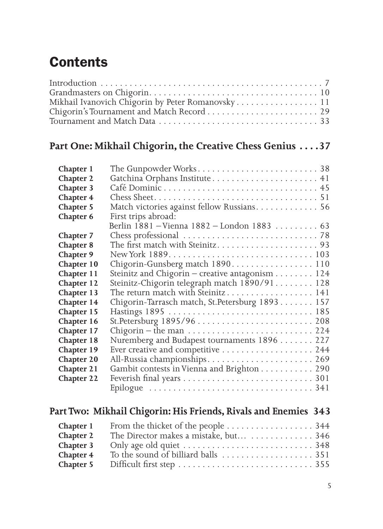# **Contents**

| Mikhail Ivanovich Chigorin by Peter Romanovsky 11 |  |  |
|---------------------------------------------------|--|--|
|                                                   |  |  |
|                                                   |  |  |

#### **Part One: Mikhail Chigorin, the Creative Chess Genius . . . 37**

| Chapter 1  |                                                                                      |
|------------|--------------------------------------------------------------------------------------|
| Chapter 2  |                                                                                      |
| Chapter 3  |                                                                                      |
| Chapter 4  |                                                                                      |
| Chapter 5  | Match victories against fellow Russians 56                                           |
| Chapter 6  | First trips abroad:                                                                  |
|            | Berlin 1881 - Vienna 1882 - London 1883  63                                          |
| Chapter 7  |                                                                                      |
| Chapter 8  |                                                                                      |
| Chapter 9  |                                                                                      |
| Chapter 10 | Chigorin-Gunsberg match 1890 110                                                     |
| Chapter 11 | Steinitz and Chigorin – creative antagonism $\dots \dots \dots 124$                  |
| Chapter 12 | Steinitz-Chigorin telegraph match 1890/91 128                                        |
| Chapter 13 | The return match with Steinitz 141                                                   |
| Chapter 14 | Chigorin-Tarrasch match, St. Petersburg 1893 157                                     |
| Chapter 15 |                                                                                      |
| Chapter 16 |                                                                                      |
| Chapter 17 | Chigorin – the man $\dots \dots \dots \dots \dots \dots \dots \dots \dots \dots 224$ |
| Chapter 18 | Nuremberg and Budapest tournaments 1896 227                                          |
| Chapter 19 | Ever creative and competitive  244                                                   |
| Chapter 20 | All-Russia championships 269                                                         |
| Chapter 21 | Gambit contests in Vienna and Brighton 290                                           |
| Chapter 22 |                                                                                      |
|            |                                                                                      |

#### **Part Two: Mikhail Chigorin: His Friends, Rivals and Enemies 343**

| Chapter 1 |                                       |  |
|-----------|---------------------------------------|--|
| Chapter 2 | The Director makes a mistake, but 346 |  |
| Chapter 3 |                                       |  |
| Chapter 4 |                                       |  |
| Chapter 5 |                                       |  |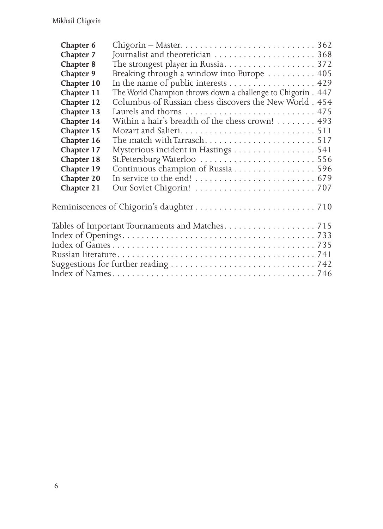| Chapter 6  |                                                                                                             |
|------------|-------------------------------------------------------------------------------------------------------------|
| Chapter 7  |                                                                                                             |
| Chapter 8  |                                                                                                             |
| Chapter 9  | Breaking through a window into Europe  405                                                                  |
| Chapter 10 | In the name of public interests 429                                                                         |
| Chapter 11 | The World Champion throws down a challenge to Chigorin . 447                                                |
| Chapter 12 | Columbus of Russian chess discovers the New World. 454                                                      |
| Chapter 13 |                                                                                                             |
| Chapter 14 | Within a hair's breadth of the chess crown! 493                                                             |
| Chapter 15 |                                                                                                             |
| Chapter 16 | The match with Tarrasch517                                                                                  |
| Chapter 17 | Mysterious incident in Hastings 541                                                                         |
| Chapter 18 |                                                                                                             |
| Chapter 19 | Continuous champion of Russia 596                                                                           |
| Chapter 20 |                                                                                                             |
| Chapter 21 |                                                                                                             |
|            |                                                                                                             |
|            | Reminiscences of Chigorin's daughter $\ldots \ldots \ldots \ldots \ldots \ldots \ldots \ldots 710$          |
|            |                                                                                                             |
|            | Tables of Important Tournaments and Matches. $\dots\dots\dots\dots\dots\dots$ . 715                         |
|            |                                                                                                             |
|            |                                                                                                             |
|            |                                                                                                             |
|            | Suggestions for further reading $\ldots \ldots \ldots \ldots \ldots \ldots \ldots \ldots \ldots \ldots 742$ |
|            |                                                                                                             |
|            |                                                                                                             |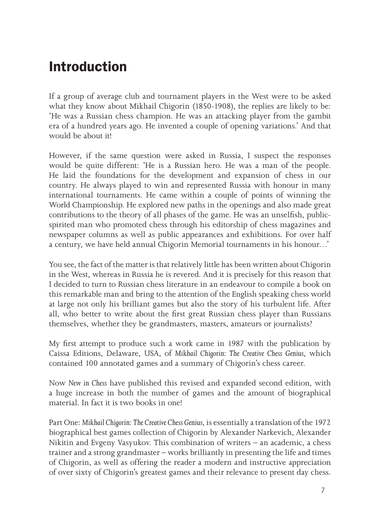# **Introduction**

If a group of average club and tournament players in the West were to be asked what they know about Mikhail Chigorin (1850-1908), the replies are likely to be: 'He was a Russian chess champion. He was an attacking player from the gambit era of a hundred years ago. He invented a couple of opening variations.' And that would be about it!

However, if the same question were asked in Russia, I suspect the responses would be quite different: 'He is a Russian hero. He was a man of the people. He laid the foundations for the development and expansion of chess in our country. He always played to win and represented Russia with honour in many international tournaments. He came within a couple of points of winning the World Championship. He explored new paths in the openings and also made great contributions to the theory of all phases of the game. He was an unselfish, publicspirited man who promoted chess through his editorship of chess magazines and newspaper columns as well as public appearances and exhibitions. For over half a century, we have held annual Chigorin Memorial tournaments in his honour…'

You see, the fact of the matter is that relatively little has been written about Chigorin in the West, whereas in Russia he is revered. And it is precisely for this reason that I decided to turn to Russian chess literature in an endeavour to compile a book on this remarkable man and bring to the attention of the English speaking chess world at large not only his brilliant games but also the story of his turbulent life. After all, who better to write about the first great Russian chess player than Russians themselves, whether they be grandmasters, masters, amateurs or journalists?

My first attempt to produce such a work came in 1987 with the publication by Caissa Editions, Delaware, USA, of *Mikhail Chigorin: The Creative Chess Genius*, which contained 100 annotated games and a summary of Chigorin's chess career.

Now *New in Chess* have published this revised and expanded second edition, with a huge increase in both the number of games and the amount of biographical material. In fact it is two books in one!

Part One: *Mikhail Chigorin: The Creative Chess Genius*, is essentially a translation of the 1972 biographical best games collection of Chigorin by Alexander Narkevich, Alexander Nikitin and Evgeny Vasyukov. This combination of writers – an academic, a chess trainer and a strong grandmaster – works brilliantly in presenting the life and times of Chigorin, as well as offering the reader a modern and instructive appreciation of over sixty of Chigorin's greatest games and their relevance to present day chess.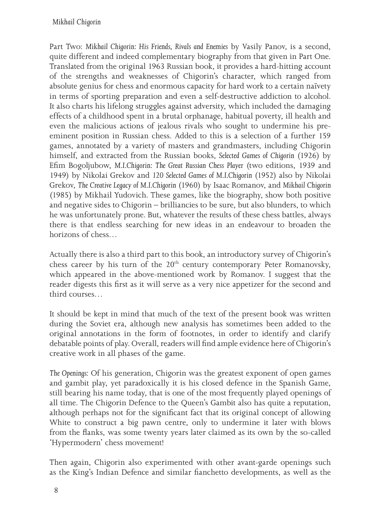Part Two: *Mikhail Chigorin: His Friends, Rivals and Enemies* by Vasily Panov, is a second, quite different and indeed complementary biography from that given in Part One. Translated from the original 1963 Russian book, it provides a hard-hitting account of the strengths and weaknesses of Chigorin's character, which ranged from absolute genius for chess and enormous capacity for hard work to a certain naïvety in terms of sporting preparation and even a self-destructive addiction to alcohol. It also charts his lifelong struggles against adversity, which included the damaging effects of a childhood spent in a brutal orphanage, habitual poverty, ill health and even the malicious actions of jealous rivals who sought to undermine his preeminent position in Russian chess. Added to this is a selection of a further 159 games, annotated by a variety of masters and grandmasters, including Chigorin himself, and extracted from the Russian books, *Selected Games of Chigorin* (1926) by Efim Bogoljubow, *M.I.Chigorin: The Great Russian Chess Player* (two editions, 1939 and 1949) by Nikolai Grekov and *120 Selected Games of M.I.Chigorin* (1952) also by Nikolai Grekov, *The Creative Legacy of M.I.Chigorin* (1960) by Isaac Romanov, and *Mikhail Chigorin* (1985) by Mikhail Yudovich. These games, like the biography, show both positive and negative sides to Chigorin – brilliancies to be sure, but also blunders, to which he was unfortunately prone. But, whatever the results of these chess battles, always there is that endless searching for new ideas in an endeavour to broaden the horizons of chess…

Actually there is also a third part to this book, an introductory survey of Chigorin's chess career by his turn of the 20<sup>th</sup> century contemporary Peter Romanovsky, which appeared in the above-mentioned work by Romanov. I suggest that the reader digests this first as it will serve as a very nice appetizer for the second and third courses…

It should be kept in mind that much of the text of the present book was written during the Soviet era, although new analysis has sometimes been added to the original annotations in the form of footnotes, in order to identify and clarify debatable points of play. Overall, readers will find ample evidence here of Chigorin's creative work in all phases of the game.

*The Openings:* Of his generation, Chigorin was the greatest exponent of open games and gambit play, yet paradoxically it is his closed defence in the Spanish Game, still bearing his name today, that is one of the most frequently played openings of all time. The Chigorin Defence to the Queen's Gambit also has quite a reputation, although perhaps not for the significant fact that its original concept of allowing White to construct a big pawn centre, only to undermine it later with blows from the flanks, was some twenty years later claimed as its own by the so-called 'Hypermodern' chess movement!

Then again, Chigorin also experimented with other avant-garde openings such as the King's Indian Defence and similar fianchetto developments, as well as the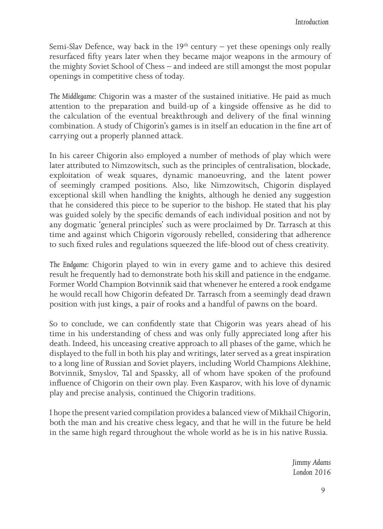Semi-Slav Defence, way back in the  $19<sup>th</sup>$  century – yet these openings only really resurfaced fifty years later when they became major weapons in the armoury of the mighty Soviet School of Chess – and indeed are still amongst the most popular openings in competitive chess of today.

*The Middlegame:* Chigorin was a master of the sustained initiative. He paid as much attention to the preparation and build-up of a kingside offensive as he did to the calculation of the eventual breakthrough and delivery of the final winning combination. A study of Chigorin's games is in itself an education in the fine art of carrying out a properly planned attack.

In his career Chigorin also employed a number of methods of play which were later attributed to Nimzowitsch, such as the principles of centralisation, blockade, exploitation of weak squares, dynamic manoeuvring, and the latent power of seemingly cramped positions. Also, like Nimzowitsch, Chigorin displayed exceptional skill when handling the knights, although he denied any suggestion that he considered this piece to be superior to the bishop. He stated that his play was guided solely by the specific demands of each individual position and not by any dogmatic 'general principles' such as were proclaimed by Dr. Tarrasch at this time and against which Chigorin vigorously rebelled, considering that adherence to such fixed rules and regulations squeezed the life-blood out of chess creativity.

*The Endgame:* Chigorin played to win in every game and to achieve this desired result he frequently had to demonstrate both his skill and patience in the endgame. Former World Champion Botvinnik said that whenever he entered a rook endgame he would recall how Chigorin defeated Dr. Tarrasch from a seemingly dead drawn position with just kings, a pair of rooks and a handful of pawns on the board.

So to conclude, we can confidently state that Chigorin was years ahead of his time in his understanding of chess and was only fully appreciated long after his death. Indeed, his unceasing creative approach to all phases of the game, which he displayed to the full in both his play and writings, later served as a great inspiration to a long line of Russian and Soviet players, including World Champions Alekhine, Botvinnik, Smyslov, Tal and Spassky, all of whom have spoken of the profound influence of Chigorin on their own play. Even Kasparov, with his love of dynamic play and precise analysis, continued the Chigorin traditions.

I hope the present varied compilation provides a balanced view of Mikhail Chigorin, both the man and his creative chess legacy, and that he will in the future be held in the same high regard throughout the whole world as he is in his native Russia.

> *Jimmy Adams London 2016*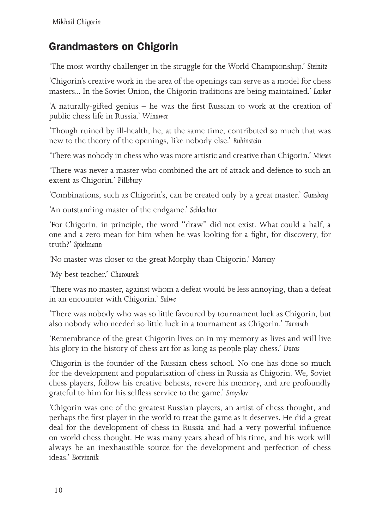### Grandmasters on Chigorin

'The most worthy challenger in the struggle for the World Championship.' *Steinitz*

'Chigorin's creative work in the area of the openings can serve as a model for chess masters... In the Soviet Union, the Chigorin traditions are being maintained.' *Lasker*

'A naturally-gifted genius – he was the first Russian to work at the creation of public chess life in Russia.' *Winawer*

'Though ruined by ill-health, he, at the same time, contributed so much that was new to the theory of the openings, like nobody else.' *Rubinstein*

'There was nobody in chess who was more artistic and creative than Chigorin.' *Mieses*

'There was never a master who combined the art of attack and defence to such an extent as Chigorin.' *Pillsbury*

'Combinations, such as Chigorin's, can be created only by a great master.' *Gunsberg*

'An outstanding master of the endgame.' *Schlechter*

'For Chigorin, in principle, the word "draw" did not exist. What could a half, a one and a zero mean for him when he was looking for a fight, for discovery, for truth?' *Spielmann*

'No master was closer to the great Morphy than Chigorin.' *Maroczy*

'My best teacher.' *Charousek*

'There was no master, against whom a defeat would be less annoying, than a defeat in an encounter with Chigorin.' *Salwe*

'There was nobody who was so little favoured by tournament luck as Chigorin, but also nobody who needed so little luck in a tournament as Chigorin.' *Tarrasch*

'Remembrance of the great Chigorin lives on in my memory as lives and will live his glory in the history of chess art for as long as people play chess.' *Duras*

'Chigorin is the founder of the Russian chess school. No one has done so much for the development and popularisation of chess in Russia as Chigorin. We, Soviet chess players, follow his creative behests, revere his memory, and are profoundly grateful to him for his selfless service to the game.' *Smyslov*

'Chigorin was one of the greatest Russian players, an artist of chess thought, and perhaps the first player in the world to treat the game as it deserves. He did a great deal for the development of chess in Russia and had a very powerful influence on world chess thought. He was many years ahead of his time, and his work will always be an inexhaustible source for the development and perfection of chess ideas.' *Botvinnik*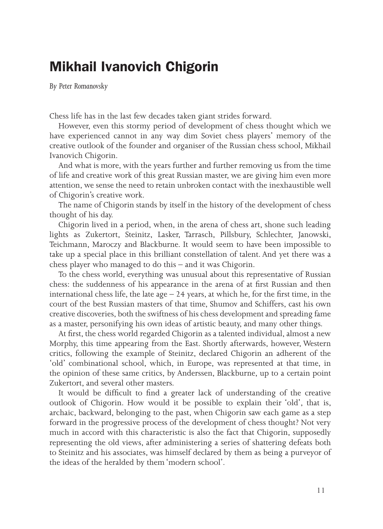## **Mikhail Ivanovich Chigorin**

*By Peter Romanovsky*

Chess life has in the last few decades taken giant strides forward.

However, even this stormy period of development of chess thought which we have experienced cannot in any way dim Soviet chess players' memory of the creative outlook of the founder and organiser of the Russian chess school, Mikhail Ivanovich Chigorin.

And what is more, with the years further and further removing us from the time of life and creative work of this great Russian master, we are giving him even more attention, we sense the need to retain unbroken contact with the inexhaustible well of Chigorin's creative work.

The name of Chigorin stands by itself in the history of the development of chess thought of his day.

Chigorin lived in a period, when, in the arena of chess art, shone such leading lights as Zukertort, Steinitz, Lasker, Tarrasch, Pillsbury, Schlechter, Janowski, Teichmann, Maroczy and Blackburne. It would seem to have been impossible to take up a special place in this brilliant constellation of talent. And yet there was a chess player who managed to do this – and it was Chigorin.

To the chess world, everything was unusual about this representative of Russian chess: the suddenness of his appearance in the arena of at first Russian and then international chess life, the late age  $-24$  years, at which he, for the first time, in the court of the best Russian masters of that time, Shumov and Schiffers, cast his own creative discoveries, both the swiftness of his chess development and spreading fame as a master, personifying his own ideas of artistic beauty, and many other things.

At first, the chess world regarded Chigorin as a talented individual, almost a new Morphy, this time appearing from the East. Shortly afterwards, however, Western critics, following the example of Steinitz, declared Chigorin an adherent of the 'old' combinational school, which, in Europe, was represented at that time, in the opinion of these same critics, by Anderssen, Blackburne, up to a certain point Zukertort, and several other masters.

It would be difficult to find a greater lack of understanding of the creative outlook of Chigorin. How would it be possible to explain their 'old', that is, archaic, backward, belonging to the past, when Chigorin saw each game as a step forward in the progressive process of the development of chess thought? Not very much in accord with this characteristic is also the fact that Chigorin, supposedly representing the old views, after administering a series of shattering defeats both to Steinitz and his associates, was himself declared by them as being a purveyor of the ideas of the heralded by them 'modern school'.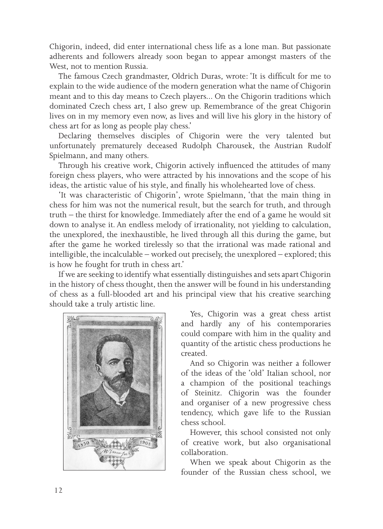Chigorin, indeed, did enter international chess life as a lone man. But passionate adherents and followers already soon began to appear amongst masters of the West, not to mention Russia.

The famous Czech grandmaster, Oldrich Duras, wrote: 'It is difficult for me to explain to the wide audience of the modern generation what the name of Chigorin meant and to this day means to Czech players... On the Chigorin traditions which dominated Czech chess art, I also grew up. Remembrance of the great Chigorin lives on in my memory even now, as lives and will live his glory in the history of chess art for as long as people play chess.'

Declaring themselves disciples of Chigorin were the very talented but unfortunately prematurely deceased Rudolph Charousek, the Austrian Rudolf Spielmann, and many others.

Through his creative work, Chigorin actively influenced the attitudes of many foreign chess players, who were attracted by his innovations and the scope of his ideas, the artistic value of his style, and finally his wholehearted love of chess.

'It was characteristic of Chigorin', wrote Spielmann, 'that the main thing in chess for him was not the numerical result, but the search for truth, and through truth – the thirst for knowledge. Immediately after the end of a game he would sit down to analyse it. An endless melody of irrationality, not yielding to calculation, the unexplored, the inexhaustible, he lived through all this during the game, but after the game he worked tirelessly so that the irrational was made rational and intelligible, the incalculable – worked out precisely, the unexplored – explored; this is how he fought for truth in chess art.'

If we are seeking to identify what essentially distinguishes and sets apart Chigorin in the history of chess thought, then the answer will be found in his understanding of chess as a full-blooded art and his principal view that his creative searching should take a truly artistic line.



Yes, Chigorin was a great chess artist and hardly any of his contemporaries could compare with him in the quality and quantity of the artistic chess productions he created.

And so Chigorin was neither a follower of the ideas of the 'old' Italian school, nor a champion of the positional teachings of Steinitz. Chigorin was the founder and organiser of a new progressive chess tendency, which gave life to the Russian chess school.

However, this school consisted not only of creative work, but also organisational collaboration.

When we speak about Chigorin as the founder of the Russian chess school, we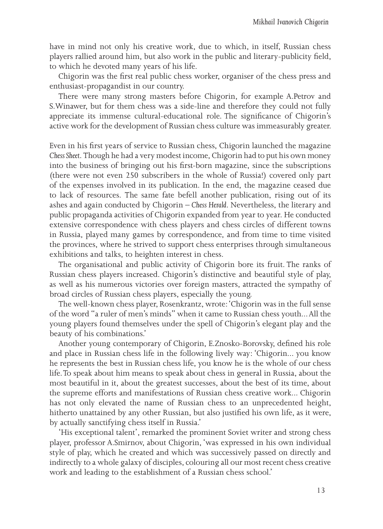have in mind not only his creative work, due to which, in itself, Russian chess players rallied around him, but also work in the public and literary-publicity field, to which he devoted many years of his life.

Chigorin was the first real public chess worker, organiser of the chess press and enthusiast-propagandist in our country.

There were many strong masters before Chigorin, for example A.Petrov and S.Winawer, but for them chess was a side-line and therefore they could not fully appreciate its immense cultural-educational role. The significance of Chigorin's active work for the development of Russian chess culture was immeasurably greater.

Even in his first years of service to Russian chess, Chigorin launched the magazine *Chess Sheet*. Though he had a very modest income, Chigorin had to put his own money into the business of bringing out his first-born magazine, since the subscriptions (there were not even 250 subscribers in the whole of Russia!) covered only part of the expenses involved in its publication. In the end, the magazine ceased due to lack of resources. The same fate befell another publication, rising out of its ashes and again conducted by Chigorin *– Chess Herald*. Nevertheless, the literary and public propaganda activities of Chigorin expanded from year to year. He conducted extensive correspondence with chess players and chess circles of different towns in Russia, played many games by correspondence, and from time to time visited the provinces, where he strived to support chess enterprises through simultaneous exhibitions and talks, to heighten interest in chess.

The organisational and public activity of Chigorin bore its fruit. The ranks of Russian chess players increased. Chigorin's distinctive and beautiful style of play, as well as his numerous victories over foreign masters, attracted the sympathy of broad circles of Russian chess players, especially the young.

The well-known chess player, Rosenkrantz, wrote: 'Chigorin was in the full sense of the word "a ruler of men's minds" when it came to Russian chess youth... All the young players found themselves under the spell of Chigorin's elegant play and the beauty of his combinations.'

Another young contemporary of Chigorin, E.Znosko-Borovsky, defined his role and place in Russian chess life in the following lively way: 'Chigorin... you know he represents the best in Russian chess life, you know he is the whole of our chess life. To speak about him means to speak about chess in general in Russia, about the most beautiful in it, about the greatest successes, about the best of its time, about the supreme efforts and manifestations of Russian chess creative work... Chigorin has not only elevated the name of Russian chess to an unprecedented height, hitherto unattained by any other Russian, but also justified his own life, as it were, by actually sanctifying chess itself in Russia.'

'His exceptional talent', remarked the prominent Soviet writer and strong chess player, professor A.Smirnov, about Chigorin, 'was expressed in his own individual style of play, which he created and which was successively passed on directly and indirectly to a whole galaxy of disciples, colouring all our most recent chess creative work and leading to the establishment of a Russian chess school.'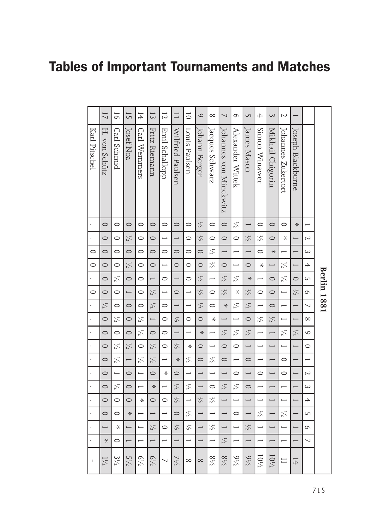# **Tables of Important Tournaments and Matches**

|               | $\overline{1}$ | $\overline{6}$           | $\overline{5}$           | 14                       | $\overline{3}$           | $\overline{1}$           | $\Box$                   | $\overline{0}$           | $\circ$                  | $\infty$                 | $\overline{\phantom{0}}$ | $\circ$                  | $\cup$                   | $\overline{+}$ | $\infty$                 | $\sim$                   |                          |                          |                    |
|---------------|----------------|--------------------------|--------------------------|--------------------------|--------------------------|--------------------------|--------------------------|--------------------------|--------------------------|--------------------------|--------------------------|--------------------------|--------------------------|----------------|--------------------------|--------------------------|--------------------------|--------------------------|--------------------|
| Karl Pitschel | H. von Schütz  | Carl Schmid              | Josef Noa                | Carl Wennners            | Fritz Riemann            | <b>Emil Schallopp</b>    | Wilfried Paulsen         | Louis Paulsen            | Johann Berger            | Jacques Schwarz          | Johannes von Minckwitz   | Alexander Wittek         | James Mason              | Simon Winawer  | Mikhail Chigorin         | Johannes Zukertort       | Joseph Blackburne        |                          |                    |
|               | $\circ$        | $\circ$                  | $\circ$                  | $\circ$                  | $\circ$                  | $\circ$                  | $\circ$                  | $\circ$                  | $\frac{1}{2}$            | $\circ$                  | $\circ$                  | $\frac{1}{2}$            |                          | $\circ$        | $\circ$                  | $\circ$                  | $\ast$                   |                          |                    |
|               | $\circ$        | $\circ$                  | $\frac{1}{2}$            | $\circ$                  | $\circ$                  | →                        | $\overline{\phantom{0}}$ | $\circ$                  | $\frac{1}{2}$            | $\circ$                  | $\circ$                  | $\circ$                  | $\frac{1}{2}$            | $\frac{1}{2}$  | $\circ$                  | $\ast$                   |                          | $\overline{\mathsf{C}}$  |                    |
| $\circ$       | $\circ$        | $\circ$                  | $\circ$                  | $\circ$                  | $\circ$                  | $\circ$                  | $\circ$                  | $\circ$                  | $\circ$                  | $\frac{1}{2}$            | $\overline{\phantom{0}}$ | $\overline{\phantom{0}}$ | $\overline{\phantom{0}}$ | $\circ$        | $\ast$                   |                          | $\overline{\phantom{0}}$ | $\sim$                   |                    |
| $\circ$       | $\circ$        | $\circ$                  | $\frac{1}{2}$            | $\circ$                  | $\circ$                  | $\overline{\phantom{0}}$ | $\circ$                  | $\circ$                  | $\circ$                  | $\frac{1}{2}$            | $\circ$                  | $\overline{\phantom{0}}$ | $\circ$                  | $\ast$         | $\overline{\phantom{0}}$ | $\frac{1}{2}$            | $\overline{\phantom{0}}$ | $\overline{+}$           |                    |
|               | $\circ$        | $\frac{1}{2}$            | $\circ$                  | $\circ$                  |                          | $\circ$                  | $\overline{\phantom{0}}$ | $\circ$                  | $\frac{1}{2}$            |                          | $\frac{1}{2}$            | $\frac{1}{2}$            | $\ast$                   |                | $\circ$                  | $\frac{1}{2}$            | $\circ$                  | GП                       | <b>Berlin 1881</b> |
| $\circ$       | $\circ$        | $\circ$                  |                          | $\circ$                  | $\frac{1}{2}$            | $\overline{\phantom{0}}$ | $\circ$                  |                          | $\frac{1}{2}$            | $\circ$                  | $\frac{1}{2}$            | ₩                        | $\frac{1}{2}$            | $\circ$        | $\circ$                  |                          | $\frac{1}{2}$            | $\circ$                  |                    |
|               | $\frac{1}{2}$  | $\circ$                  | $\circ$                  | $\circ$                  | $\frac{1}{2}$            | $\circ$                  | $\overline{\phantom{0}}$ |                          | $\frac{1}{2}$            | $\circ$                  | $\ast$                   | $\frac{1}{2}$            | $\frac{1}{2}$            |                | $\circ$                  |                          | $\overline{\phantom{0}}$ | $\overline{ }$           |                    |
|               | $\circ$        | $\frac{1}{2}$            | $\circ$                  | $\frac{1}{2}$            | $\overline{\phantom{0}}$ | $\circ$                  | $\frac{1}{2}$            | $\circ$                  | $\circ$                  | ₩                        | $\overline{\phantom{0}}$ | $\overline{\phantom{0}}$ | $\circ$                  | $\frac{1}{2}$  | $\frac{1}{2}$            |                          |                          | $\infty$                 |                    |
|               | $\circ$        | $\circ$                  | $\circ$                  | $\frac{1}{2}$            | $\circ$                  | $\circ$                  | $\overline{\phantom{0}}$ |                          | $\ast$                   |                          | $\frac{1}{2}$            | $\frac{1}{2}$            | $\frac{1}{2}$            |                |                          | $\frac{1}{2}$            | $\frac{1}{2}$            | $\circ$                  |                    |
|               | $\circ$        | $\frac{1}{2}$            | $\frac{1}{2}$            | $\circ$                  | $\frac{1}{2}$            | $\circ$                  | $\frac{1}{2}$            | ⋇                        | $\circ$                  |                          | $\circ$                  | $\circ$                  | $\overline{\phantom{0}}$ |                |                          |                          | $\overline{\phantom{0}}$ | $\circ$                  |                    |
|               | $\circ$        | $\frac{1}{2}$            |                          | $\frac{1}{2}$            | $\frac{1}{2}$            | $\overline{\phantom{0}}$ | $\ast$                   | $\frac{1}{2}$            | $\circ$                  | $\frac{1}{2}$            | $\circ$                  | $\overline{\phantom{0}}$ | $\circ$                  |                | $\overline{\phantom{0}}$ | $\circ$                  | $\overline{\phantom{0}}$ |                          |                    |
|               | $\circ$        | $\overline{\phantom{0}}$ | $\circ$                  | $\overline{\phantom{0}}$ | $\circ$                  | ⋇                        | $\circ$                  | $\overline{\phantom{0}}$ | $\overline{\phantom{0}}$ | $\overline{\phantom{0}}$ | $\overline{\phantom{0}}$ | $\circ$                  | $\overline{\phantom{0}}$ | $\circ$        | $\overline{\phantom{0}}$ | $\circ$                  | $\overline{\phantom{0}}$ | $\overline{\mathsf{C}}$  |                    |
|               | $\circ$        | $\frac{1}{2}$            | $\circ$                  |                          | $\ast$                   |                          | $\frac{1}{2}$            | $\frac{1}{2}$            |                          | $\circ$                  | $\frac{1}{2}$            | $\frac{1}{2}$            | $\circ$                  |                |                          |                          |                          | $\sim$                   |                    |
|               | $\circ$        | $\circ$                  | $\circ$                  | $\ast$                   | $\circ$                  | $\circ$                  | $\frac{1}{2}$            |                          | $\frac{1}{2}$            | $\frac{1}{2}$            | $\overline{\phantom{0}}$ | $\overline{\phantom{0}}$ | $\overline{\phantom{0}}$ |                |                          |                          | $\overline{\phantom{0}}$ | $\overline{+}$           |                    |
|               | $\circ$        | $\circ$                  | $\ast$                   | $\overline{\phantom{0}}$ | $\overline{\phantom{0}}$ | $\overline{\phantom{0}}$ | $\circ$                  | $\frac{1}{2}$            | $\overline{\phantom{0}}$ | $\overline{\phantom{0}}$ | $\overline{\phantom{0}}$ | $\circ$                  | $\overline{\phantom{0}}$ | $\frac{1}{2}$  | $\overline{\phantom{0}}$ | $\frac{1}{2}$            | $\overline{\phantom{0}}$ | GП                       |                    |
|               |                | ₩                        |                          |                          | $\frac{1}{2}$            | $\circ$                  | $\frac{1}{2}$            | $\frac{1}{2}$            |                          | $\frac{1}{2}$            | $\rightarrow$            | $\overline{\phantom{0}}$ | $\frac{1}{2}$            |                |                          | $\overline{\phantom{0}}$ |                          | $\circ$                  |                    |
|               | $\ast$         | $\circ$                  | $\overline{\phantom{0}}$ | $\overline{\phantom{0}}$ | $\overline{\phantom{0}}$ | $\overline{\phantom{0}}$ | $\overline{\phantom{0}}$ | $\overline{\phantom{0}}$ | $\overline{\phantom{0}}$ |                          | $\frac{1}{2}$            | $\overline{\phantom{0}}$ | $\overline{\phantom{0}}$ |                | $\overline{\phantom{0}}$ |                          | $\overline{\phantom{0}}$ | $\overline{\phantom{0}}$ |                    |
|               | $1\frac{1}{2}$ | $3\frac{1}{2}$           | $5\frac{1}{2}$           | $6^{1/2}$                | $6^{1/2}$                | ┙                        | $7\frac{1}{2}$           | $\infty$                 | $\infty$                 | $8^{1/2}$                | $8\frac{1}{2}$           | $9\frac{1}{2}$           | $9\frac{1}{2}$           | 10'/2          | $10\frac{1}{2}$          | $\equiv$                 | $\overline{14}$          |                          |                    |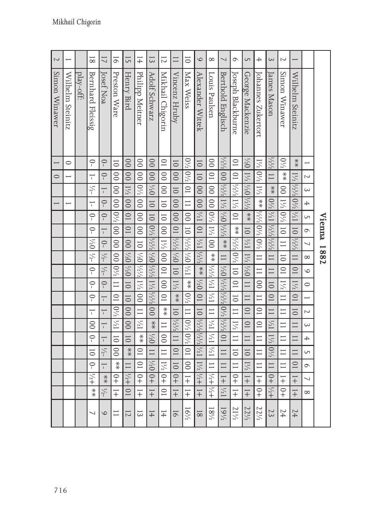|                          |                          |                                                                             |                          |                          |                                      |                           |                          | Vienna 1882      |                                                |                         |                |                                      |                          |                                                                                                                   |                          |                           |                          |                   |                         |                 |
|--------------------------|--------------------------|-----------------------------------------------------------------------------|--------------------------|--------------------------|--------------------------------------|---------------------------|--------------------------|------------------|------------------------------------------------|-------------------------|----------------|--------------------------------------|--------------------------|-------------------------------------------------------------------------------------------------------------------|--------------------------|---------------------------|--------------------------|-------------------|-------------------------|-----------------|
|                          |                          |                                                                             | $\overline{\mathsf{C}}$  | $\sim$                   | $\overline{+}$                       | GП                        | $\circ$                  | $\overline{ }$   | $\infty$                                       | $\circ$                 | $\circ$        | $\overline{\phantom{0}}$             | $\overline{\mathsf{C}}$  | $\sim$                                                                                                            | $\overline{+}$           | GП                        | $\circ$                  | $\overline{ }$    | $\infty$                |                 |
|                          | Wilhelm Steinitz         | $* \atop *$                                                                 | $1\frac{1}{2}$           | 141/201/21               |                                      |                           | $\overline{01}$          | $\frac{1}{2}$    | $\Box$                                         | $\overline{10}$         | $1\frac{1}{2}$ | $\overline{10}$                      | $\overline{0}$           | $\Box$                                                                                                            | $\Box$                   | $\Box$                    | $\overline{10}$          | $\frac{1}{1}$     | $\overline{+}$          | 14              |
| $\sim$                   | Simon Winawer            | $0\frac{1}{2}$                                                              | $*$<br>$*$               | $\overline{0}$           | 자이자                                  |                           | $\overline{0}$           | $\equiv$         | $\overline{0}$                                 | $\overline{C}$          | $1\frac{1}{2}$ | $\Box$                               | $\equiv$                 | $\equiv$                                                                                                          | $\equiv$                 | $\equiv$                  | $\equiv$                 | $\overline{+}$    | $\frac{1}{2}$           | 24              |
| $\infty$                 | James Masor              | $\frac{1}{2}$                                                               | $\Box$                   | $\ddot{*}$               | $1\frac{1}{2}$ $\frac{1}{2}$         |                           | 1/2/2/2/2/2              |                  | $\Box$                                         | $\Box$                  | $\overline{0}$ | $\overline{10}$                      | $\equiv$                 | 1/21                                                                                                              | $1\frac{1}{2}$           | $ 0^{1/2}$                | $\Box$                   | $rac{1}{2}$       | $\frac{1}{2}$           | 23              |
| $\overline{+}$           | Johannes Zukertor        | 12/01/2                                                                     |                          | 1½                       | $* \underset{1}{*}$                  |                           | 사이 사이 아시                 |                  | $\equiv$                                       | $\equiv$                | $\overline{0}$ | $\Box$                               | $\overline{C}$           | $\overline{C}$                                                                                                    | $\equiv$                 | Ξ                         | $\equiv$                 | $\overline{+}$    | $\frac{1}{2}$           | $22^{1/2}$      |
| $\sqrt{ }$               | George Mackenzie         | $1/2$ $1/2$ $1/2$                                                           |                          |                          | $\frac{1}{2}$                        | $*$                       | $\frac{1}{10}$           | $1\frac{1}{2}$   | $1\frac{1}{2}$ / <sup>1</sup> / <sub>2</sub> 0 |                         | $\Box$         | $\Box$                               | $\overline{0}$           | $\overline{0}$                                                                                                    | $\Box$                   | $\overline{0}$            | $1\frac{1}{2}$           | $\overline{+}$    | $\frac{1}{+}$           | 221/2           |
| $\circ$                  | Joseph Blackburne        | $\overline{10}$                                                             | $\overline{0}$           | $\frac{1}{2}$            | $\frac{1}{2}$                        | $\overline{\supseteq}$    | $*$                      | 242 242          |                                                | $\overline{a}$          | $\overline{C}$ | $\overline{\overline{\overline{C}}}$ | $\Box$                   | $1\frac{1}{2}$                                                                                                    | $\equiv$                 | $\overline{\overline{C}}$ | $\equiv$                 | $rac{1}{2}$       | $\frac{1}{1}$           | 211/2           |
| $\overline{\phantom{0}}$ | Berthold Englisch        | $\frac{1}{2^{1/2}}$                                                         | 사서 02년 12년 22년           |                          |                                      |                           |                          | $\frac{1}{1}$    | $0\frac{7}{11}$ 11                             |                         | 사사  사이  사사  사  |                                      |                          |                                                                                                                   | $\overline{0}$           | $\Box$                    | $\Box$                   | $\frac{1}{1}$     | $\frac{1}{2}$           | $19^{1/2}$      |
| $\infty$                 | Louis Paulsen            | $\overline{0}$                                                              | $\overline{\phantom{0}}$ | $\overline{0}$           | $\overline{00}$                      | $ 6^{1/2} $               | $\frac{1}{2}$            | $\overline{0}$   | **   1/2   1/2   1/2   **                      |                         |                |                                      | $\equiv$                 | $1\frac{1}{2}$ $1\frac{1}{2}$                                                                                     |                          | $1\frac{1}{2}$            | $\equiv$                 |                   | $+31/7$                 | $18^{1/2}$      |
| $\circ$                  | Alexander Wittek         | $\overline{0}$                                                              | $\overline{0}$           | $\overline{00}$          | $\overline{00}$                      | $\frac{1}{2}$             | $\overline{10}$          | $1\frac{1}{2}$   | $\frac{1}{2}$                                  | $*$                     | $0\frac{1}{2}$ | $\overline{0}$                       | $\overline{01}$          | $1\frac{1}{2}\frac{1}{2}\frac{1}{2}\frac{1}{2}\frac{1}{2}\frac{1}{2}\frac{1}{2}\frac{1}{2}\frac{1}{2}\frac{1}{2}$ |                          |                           |                          | $1!/2!/2+$        | $\frac{1}{1}$           | $\overline{8}$  |
| $\overline{0}$           | Max Weiss                | $0!$ <sub>2</sub> $/$ <sub>2</sub> $ 0$ <sup>2</sup> $/$ <sub>2</sub> $ 01$ |                          |                          | $\equiv$                             | $ 00\rangle$              | $\overline{a}$           | $0\frac{7}{15}$  |                                                | $\frac{1}{2}$           | $\ddot{*}$     | $0^{1/2}$ [1]                        |                          |                                                                                                                   | $ 0^{1/2} 0^{1/2} $      | $\overline{10}$           | $\overline{0}$           | $\overline{+}$    | $\overline{+}$          | $16\frac{1}{2}$ |
| $\Box$                   | Vincenz Hruby            | $\overline{0}$                                                              | $\overline{0}$           | $\overline{0}$           | $\overline{0}$                       | $\overline{0}$            | $\overline{10}$          | $\frac{1}{2}$    | $0\frac{7}{1}$                                 | $\frac{1}{\sqrt{2}}$    | $1\frac{1}{2}$ | $*$                                  | $\overline{0}$           | $\frac{1}{2}$                                                                                                     | $\Box$                   | $\overline{C}$            | $\overline{0}$           | $\frac{0}{+}$     | $\frac{1}{1}$           | $\overline{5}$  |
| $\overline{C}$           | Mikhail Chigorin         | $\overline{0}$                                                              | $\overline{\frac{1}{2}}$ | $\overline{\circ}$       | $\overline{\overline{C}}$            | $\overline{\overline{C}}$ | $\overline{8}$           | 11/2 00          |                                                | $\overline{\mathbf{C}}$ | $\overline{0}$ | $\overline{10}$                      | $*$                      | $\equiv$                                                                                                          | $\circ$                  | $\equiv$                  |                          | $1\frac{1}{2}$ 0+ | $\overline{\mathrm{O}}$ | $\overline{+}$  |
| $\overline{3}$           | Adolf Schwarz            | $\overline{0}$                                                              | $\overline{)}$           | $ ^{1/2}$                | $\overline{\overline{\overline{C}}}$ | $\overline{0}$            |                          |                  | 3/13/10/12/20 2/15/2                           |                         | 1½ 1/21/2      |                                      | $\overline{)}$           | $*$                                                                                                               | $0\frac{7}{1}$           | $\Box$                    | $0\frac{7}{1}$           | $\frac{1}{2}$     | $\overline{+}$          | 14              |
| $1\pm$                   | Philipp Meitner          | $\overline{0}$                                                              | $\overline{\frac{1}{2}}$ | $ 0_2/$                  | $\overline{0}$                       | $\overline{\circ}$        | $\overline{00}$          |                  | 20 가시 0개                                       |                         | $00^{1/7}$     |                                      | $\Box$                   | $1\frac{1}{2}$                                                                                                    | $\ddot{*}$               | $\overline{\cup}$         | $\overline{C}$           | $\frac{1}{2}$     | $\overline{+}$          | 13              |
| 5                        | Henry Bird               | $\overline{0}$                                                              | $\overline{)}$           | $ 1\frac{1}{2}$          | $\frac{1}{2}$                        | $\overline{10}$           | $\overline{C}$           |                  | 0% 0% 00                                       |                         | $\overline{0}$ | $\overline{0}$                       | $\overline{\circ}$       | $\overline{0}$                                                                                                    | $\overline{0}$           | $*$                       | $\Box$                   | $+2/1$            | $\overline{C}$          | $\overline{z}$  |
| $\overline{6}$           | Preston Ware             | $\overline{\overline{\overline{C}}}$                                        | $\overline{0}$           | $\overline{0}$           | $\overline{0}$                       | $ 0^{1/2} $               | $\overline{0}$           | $\overline{0}$   | $\overline{00}$                                | $ 0_2$                  | $\equiv$       | $\overline{C}$                       | $ 0^{1/2} $              | $1\frac{1}{2}$                                                                                                    | $\overline{\circ}$       | $\overline{0}$            | $\frac{*}{*}$            | $\frac{0}{+}$     | $\overline{+}$          | $\equiv$        |
| $\overline{L}$           | Josef Noa                | $\bigcirc$                                                                  | $\bigcirc$               | $\overline{\phantom{0}}$ | $\bigcirc$                           | $\bigcirc$                | $\overline{\phantom{0}}$ | $-0$             | $\frac{1}{2}$                                  | $\frac{1}{2}$           | $\bigcirc$     | $\overline{\phantom{0}}$             | $\overline{\phantom{0}}$ | $\overline{\phantom{0}}$                                                                                          | $\overline{\phantom{0}}$ | $1/2-$                    | $\overline{\phantom{0}}$ | $*$               | $1/2-$                  | $\circ$         |
| $\overline{8}$           | <b>Bernhard Fleissig</b> | $\bigcirc$                                                                  | ₸                        | $\mathcal{V}_{2^-}$      | $\overline{\phantom{0}}$             | $\bigcirc$                | $\bigcirc$               | $^{1/2}0^{1/2-}$ |                                                | $\bigcirc$              | $\circ$        | $\bigcirc$                           | $\overline{\phantom{0}}$ | $\overline{0}$                                                                                                    | $\circ$                  | $\overline{0}$            | $\bigcirc$               | $\frac{1}{2}$     | $\frac{1}{x}$           | ↘               |
|                          | play-off:                |                                                                             |                          |                          |                                      |                           |                          |                  |                                                |                         |                |                                      |                          |                                                                                                                   |                          |                           |                          |                   |                         |                 |
|                          | Wilhelm Steinitz         | $\circ$                                                                     |                          |                          |                                      |                           |                          |                  |                                                |                         |                |                                      |                          |                                                                                                                   |                          |                           |                          |                   |                         |                 |
| $\sim$                   | Simon Winawer            |                                                                             | $\circ$                  |                          |                                      |                           |                          |                  |                                                |                         |                |                                      |                          |                                                                                                                   |                          |                           |                          |                   |                         |                 |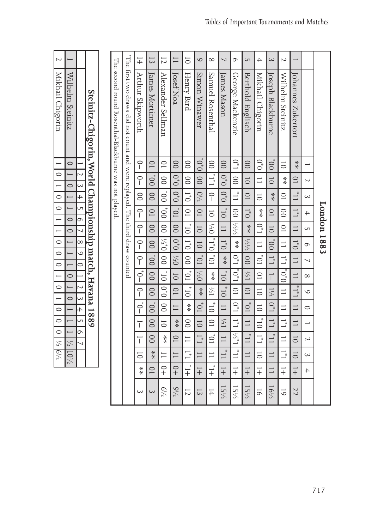| $\sim$                   |                    |                    |                                                          |                                                       |                                                                              | $\pm$                   | $\overline{3}$  | $\overline{C}$    | $\Box$           | $\overline{0}$           | $\circ$          | $\infty$                             | $\overline{ }$            | $\circ$                   | $\cup$            | $\overline{+}$            | $\infty$                             | $\sim$                         | $\overline{\phantom{0}}$ |                          |             |
|--------------------------|--------------------|--------------------|----------------------------------------------------------|-------------------------------------------------------|------------------------------------------------------------------------------|-------------------------|-----------------|-------------------|------------------|--------------------------|------------------|--------------------------------------|---------------------------|---------------------------|-------------------|---------------------------|--------------------------------------|--------------------------------|--------------------------|--------------------------|-------------|
|                          |                    |                    |                                                          |                                                       |                                                                              |                         |                 |                   | Josef Noa        | Henry Bird               |                  |                                      | James Mason               |                           |                   |                           |                                      |                                |                          |                          |             |
| Mikhail Chigorin         | Wilhelm Steinitz   |                    | Steinitz-Chigorin, World Championship match, Havana 1889 | -The second round Rosenthal-Blackburne was not played | "The first two draws did not count and were replayed. The third draw counted | <b>Arthur Skipworth</b> | James Mortimer  | Alexander Sellman |                  |                          | Simon Winawer    | Sanuel Rosenthal                     |                           | George Mackenzie          | Berthold Englisch | Mikhail Chigorin          | Joseph Blackburne                    | Wilhelm Steinitz               | Johannes Zukertort       |                          |             |
|                          | $\circ$            |                    |                                                          |                                                       |                                                                              | $\bigcap$               | $\overline{10}$ | $\overline{0}$    | $\overline{0}$   | $\infty$                 | $\mathrm{O}_*$   | $\overline{0}$                       | $\overline{0}$            | $0^*$ 1                   | $\overline{0}$    | $0^*0$                    | $\overline{O}^*$                     | $\overline{0}$                 | $* \atop *$              | Ē                        |             |
| $\circ$                  |                    | $\sim$             |                                                          |                                                       |                                                                              | $\bigcap$               | $00_*$          | $\overline{0}$    | 0,0              | $\overline{0}$           | $\overline{00}$  | $L_*L_*$                             | $0_*0$                    | $\overline{0}$            | $\overline{0}$    | $\equiv$                  | $\overline{0}$                       | $\stackrel{*}{\ast}$           | $\overline{10}$          | $\sim$                   |             |
| $\circ$                  | $\circ$            | $\overline{4}$     |                                                          |                                                       |                                                                              | $\overline{0}$          | $\overline{0}0$ | $\overline{O}^*$  | 0, 0             | $\overline{0}^*$         | $0\frac{1}{2}$   | $\bigcap$                            | $0_*0$                    | $\overline{11}$           | $\overline{10}$   | $\overline{\circ}$        | $*$                                  | $\supseteq$                    | $\overline{11}$          | $\sim$                   |             |
| $\circ$                  |                    | GП                 |                                                          |                                                       |                                                                              | $\bigcap$               | $\overline{0}$  | $00_*$            | $\overline{O}^*$ | $\overline{\cup}$        | $\overline{C}$   | $\overline{\phantom{0}}$             | $\overline{0}^*$          | $\overline{0}$            | $\overline{0}^*$  | $\overset{*}{\ast}$       | $\overline{10}$                      | $\overline{0}$                 | $\prod_{i=1}^{n}$        | ┿                        |             |
|                          | $\circ$<br>$\circ$ | $\circ$            |                                                          |                                                       |                                                                              | $\bigcap$               | $\overline{0}$  | $\overline{0}$    | $\overline{0}$   | $\overline{01}^*$        | $\overline{0}$   | $^{1/2}0$                            | $\Box$                    | $\frac{1}{2}$             | $*$               | $\overline{\mathsf{C}}^*$ | $\overline{\overline{\overline{C}}}$ | $\cup$                         | $\Box$                   | S                        |             |
| $\circ$                  |                    | $\infty$           |                                                          |                                                       |                                                                              | $\bigcap$               | $\overline{0}$  | 0, 1/2            | 0,0              | $\overline{0}^*$         | $\overline{0}$   | $\overline{\overline{\overline{C}}}$ | $\overline{0}^*$          | $\ddot{*}$                | $\frac{1}{2}$     | $\equiv$                  | $\overline{0}^*$                     | ᆖ                              | $\overline{0}^*$         | $\circ$                  | London 1883 |
| $\circ$<br>$\circ$       |                    | $\circ$<br>$\circ$ |                                                          |                                                       |                                                                              | $\bigcap$               | $\overline{0}$  | $\overline{0}$    | $0\frac{1}{2}$   | $\overline{0}$           | $\overline{C}^*$ | $\overline{C}$                       | $\frac{*}{*}$             | $\overline{\mathsf{L}}^*$ | $\overline{0}$    | $\overline{C}^*$          | $\mathbb{L}^*$                       | $\mathbb{I}^*$                 | $\Box$                   | ┘                        |             |
|                          | $\circ$            |                    |                                                          |                                                       |                                                                              | $\overline{\rho}^*$     | $00\,$          | $\overline{01}^*$ | $\overline{0}$   | $\overline{C}^*$         | $^{1/2}0$        | $\frac{*}{*}$                        | $01*$                     | $\overline{C}^*$          | $1\frac{1}{2}$    | $\subseteq$               | $\overline{\top}$                    | $\overline{\mathrm{O}_*^*0_*}$ | $\Box$                   | $\infty$                 |             |
| $\circ$                  | $\circ$            | $\sim$             |                                                          |                                                       |                                                                              | $\bigcap$               | $\overline{0}$  | $\mathbf{0}_{*}$  | $\overline{10}$  | $\overline{\phantom{0}}$ | $\frac{*}{*}$    | 1/1                                  | $\overline{\mathbf{0}}^*$ | $\cup$                    | $\overline{C}$    | $\overline{0}$            | $1\frac{1}{2}$                       | $\equiv$                       | $\prod_{\ast}$           | $\circ$                  |             |
| $\circ$                  |                    | $\overline{+}$     |                                                          |                                                       |                                                                              | $-0,1$                  | $\overline{0}$  | $\overline{0}$    | $\Box$           | $\ddot{*}$               | $\overline{C}^*$ | $\overline{01}^*$                    |                           | $\overline{\mathsf{L}}^*$ | $\overline{0}^*$  | $\overline{\circ}$        | $L^*$ 0                              | $\equiv$                       | $\Box$                   | $\circ$                  |             |
| $\circ$                  |                    | G<br>$\circ$       |                                                          |                                                       |                                                                              | T                       | $\infty$        | $\overline{0}$    | $\frac{*}{*}$    | $\overline{0}$           | $\overline{0}$   | $\overline{\mathsf{C}}$              | 1/21                      | $\sqcup^*$                | $\Box$            | $\overline{\mathbf{0}}^*$ | $\overline{\Box}$                    | $\mathbb{L}^*$                 | $\Box$                   | $\overline{\phantom{0}}$ |             |
| $\circ$<br>$\frac{1}{2}$ | $\frac{1}{2}$      |                    |                                                          |                                                       |                                                                              | T                       | $\infty$        | $\ddot{*}$        | $\overline{0}$   | $\equiv$                 | $\frac{1}{4}$    | $\overline{C}^*$                     |                           | $1/\dot{2}$ 1             | $\prod_{i=1}^{n}$ | $\vec{=}$                 | $\Box$                               |                                | 5                        | $\sim$                   |             |
| $6^{1/2}$                | $110^{1/2}$        |                    |                                                          |                                                       |                                                                              | $\overline{\circ}$      | $\frac{*}{*}$   | $\equiv$          | $\Box$           | $\overline{1}^*$         | $\Box$           | $\equiv$                             |                           | $\overline{11}$           | $\Box$            | $\overline{\circ}$        | $\Box$                               | $\Xi^*$                        | $\overline{0}$           | $\sim$                   |             |
|                          |                    |                    |                                                          |                                                       |                                                                              | $\frac{*}{*}$           | $\overline{10}$ | $\frac{0}{+}$     | $\degree$        | $\frac{1}{x}$            | $\overline{+}$   | $\frac{1}{x}$                        | $\overline{+}$            | $\overline{+}$            | $\overline{+}$    | $\overline{+}$            | $\Box$                               | $\mp$                          | $\overline{+}$           | $\overline{+}$           |             |
|                          |                    |                    |                                                          |                                                       |                                                                              | $\rm \omega$            | $\sim$          | $6^{1/2}$         | $9\frac{1}{2}$   | $\overline{C}$           | $\overline{3}$   | $\frac{1}{4}$                        | 151/2                     | 151/                      | $15\frac{1}{2}$   | $\overline{6}$            | 161/2                                | 5                              | 22                       |                          |             |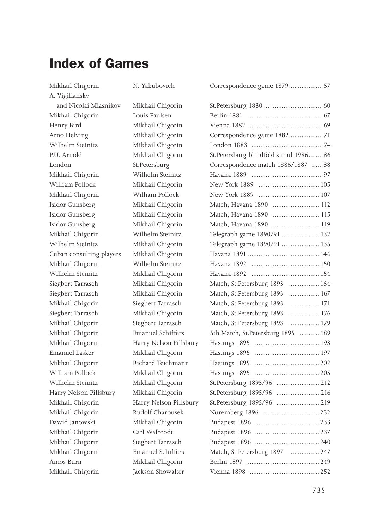# **Index of Games**

| Mikhail Chigorin         | N. Yakubovich            | Correspondence game 1879 57          |     |
|--------------------------|--------------------------|--------------------------------------|-----|
| A. Vigiliansky           |                          |                                      |     |
| and Nicolai Miasnikov    | Mikhail Chigorin         |                                      |     |
| Mikhail Chigorin         | Louis Paulsen            |                                      |     |
| Henry Bird               | Mikhail Chigorin         |                                      |     |
| Arno Helving             | Mikhail Chigorin         | Correspondence game 1882 71          |     |
| Wilhelm Steinitz         | Mikhail Chigorin         |                                      |     |
| P.U. Arnold              | Mikhail Chigorin         | St.Petersburg blindfold simul 198686 |     |
| London                   | St.Petersburg            | Correspondence match 1886/1887 88    |     |
| Mikhail Chigorin         | Wilhelm Steinitz         |                                      |     |
| William Pollock          | Mikhail Chigorin         |                                      |     |
| Mikhail Chigorin         | William Pollock          |                                      |     |
| Isidor Gunsberg          | Mikhail Chigorin         | Match, Havana 1890  112              |     |
| Isidor Gunsberg          | Mikhail Chigorin         | Match, Havana 1890  115              |     |
| Isidor Gunsberg          | Mikhail Chigorin         | Match, Havana 1890    119            |     |
| Mikhail Chigorin         | Wilhelm Steinitz         | Telegraph game 1890/91  132          |     |
| Wilhelm Steinitz         | Mikhail Chigorin         | Telegraph game 1890/91  135          |     |
| Cuban consulting players | Mikhail Chigorin         |                                      |     |
| Mikhail Chigorin         | Wilhelm Steinitz         |                                      |     |
| Wilhelm Steinitz         | Mikhail Chigorin         |                                      |     |
| Siegbert Tarrasch        | Mikhail Chigorin         | Match, St.Petersburg 1893  164       |     |
| Siegbert Tarrasch        | Mikhail Chigorin         | Match, St.Petersburg 1893  167       |     |
| Mikhail Chigorin         | Siegbert Tarrasch        | Match, St.Petersburg 1893            |     |
| Siegbert Tarrasch        | Mikhail Chigorin         | Match, St.Petersburg 1893            |     |
| Mikhail Chigorin         | Siegbert Tarrasch        | Match, St.Petersburg 1893  179       |     |
| Mikhail Chigorin         | Emanuel Schiffers        | 5th Match, St.Petersburg 1895  189   |     |
| Mikhail Chigorin         | Harry Nelson Pillsbury   |                                      |     |
| Emanuel Lasker           | Mikhail Chigorin         |                                      |     |
| Mikhail Chigorin         | Richard Teichmann        |                                      |     |
| William Pollock          | Mikhail Chigorin         |                                      |     |
| Wilhelm Steinitz         | Mikhail Chigorin         | St.Petersburg 1895/96  212           |     |
| Harry Nelson Pillsbury   | Mikhail Chigorin         | St.Petersburg 1895/96  216           |     |
| Mikhail Chigorin         | Harry Nelson Pillsbury   | St.Petersburg 1895/96  219           |     |
| Mikhail Chigorin         | Rudolf Charousek         |                                      |     |
| Dawid Janowski           | Mikhail Chigorin         |                                      |     |
| Mikhail Chigorin         | Carl Walbrodt            |                                      |     |
| Mikhail Chigorin         | Siegbert Tarrasch        |                                      |     |
| Mikhail Chigorin         | <b>Emanuel Schiffers</b> | Match, St.Petersburg 1897  247       |     |
| Amos Burn                | Mikhail Chigorin         |                                      |     |
| Mikhail Chigorin         | Jackson Showalter        | Vienna 1898                          | 252 |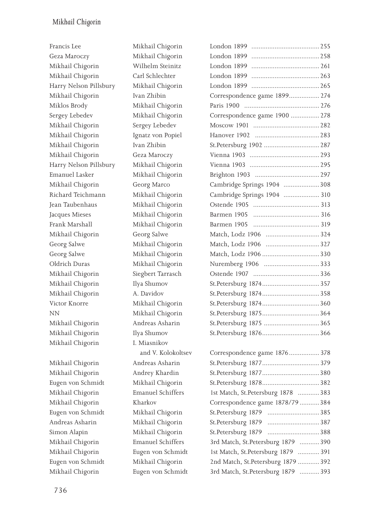Mikhail Chigorin Andrey Khardin Eugen von Schmidt Mikhail Chigorin Mikhail Chigorin 1st. Emanuel Schiffers Mikhail Chigorin Kharkov Eugen von Schmidt Mikhail Chigorin Andreas Asharin Mikhail Chigorin Mikhail Chigorin 1st. Eugen von Schmidt Eugen von Schmidt Mikhail Chigorin Mikhail Chigorin Eugen von Schmidt 3rd Match, St.Petersburg 1879 ...........393

| Francis Lee            | Mikhail Chigorin   |                                    |  |
|------------------------|--------------------|------------------------------------|--|
| Geza Maroczy           | Mikhail Chigorin   |                                    |  |
| Mikhail Chigorin       | Wilhelm Steinitz   |                                    |  |
| Mikhail Chigorin       | Carl Schlechter    |                                    |  |
| Harry Nelson Pillsbury | Mikhail Chigorin   |                                    |  |
| Mikhail Chigorin       | Ivan Zhibin        | Correspondence game 1899 274       |  |
| Miklos Brody           | Mikhail Chigorin   |                                    |  |
| Sergey Lebedev         | Mikhail Chigorin   | Correspondence game 1900  278      |  |
| Mikhail Chigorin       | Sergey Lebedev     |                                    |  |
| Mikhail Chigorin       | Ignatz von Popiel  |                                    |  |
| Mikhail Chigorin       | Ivan Zhibin        | St.Petersburg 1902  287            |  |
| Mikhail Chigorin       | Geza Maroczy       |                                    |  |
| Harry Nelson Pillsbury | Mikhail Chigorin   |                                    |  |
| Emanuel Lasker         | Mikhail Chigorin   |                                    |  |
| Mikhail Chigorin       | Georg Marco        | Cambridge Springs 1904 308         |  |
| Richard Teichmann      | Mikhail Chigorin   | Cambridge Springs 1904  310        |  |
| Jean Taubenhaus        | Mikhail Chigorin   |                                    |  |
| Jacques Mieses         | Mikhail Chigorin   | Barmen 1905                        |  |
| Frank Marshall         | Mikhail Chigorin   | Barmen 1905                        |  |
| Mikhail Chigorin       | Georg Salwe        | Match, Lodz 1906  324              |  |
| Georg Salwe            | Mikhail Chigorin   | Match, Lodz 1906 327               |  |
| Georg Salwe            | Mikhail Chigorin   |                                    |  |
| Oldrich Duras          | Mikhail Chigorin   |                                    |  |
| Mikhail Chigorin       | Siegbert Tarrasch  |                                    |  |
| Mikhail Chigorin       | Ilya Shumov        |                                    |  |
| Mikhail Chigorin       | A. Davidov         |                                    |  |
| Victor Knorre          | Mikhail Chigorin   |                                    |  |
| NΝ                     | Mikhail Chigorin   |                                    |  |
| Mikhail Chigorin       | Andreas Asharin    |                                    |  |
| Mikhail Chigorin       | Ilya Shumov        |                                    |  |
| Mikhail Chigorin       | I. Miasnikov       |                                    |  |
|                        | and V. Kolokoltsev | Correspondence game 1876 378       |  |
| Mikhail Chigorin       | Andreas Asharin    |                                    |  |
| Mikhail Chigorin       | Andrey Khardin     |                                    |  |
| Eugen von Schmidt      | Mikhail Chigorin   |                                    |  |
| Mikhail Chigorin       | Emanuel Schiffers  | 1st Match, St.Petersburg 1878 383  |  |
| Mikhail Chigorin       | Kharkov            | Correspondence game 1878/79 384    |  |
| Eugen von Schmidt      | Mikhail Chigorin   | St.Petersburg 1879                 |  |
| Andreas Asharin        | Mikhail Chigorin   | St.Petersburg 1879<br>$\cdots$ 387 |  |
| Simon Alapin           | Mikhail Chigorin   | St.Petersburg 1879<br>$\ldots$ 388 |  |
| Mikhail Chigorin       | Emanuel Schiffers  | 3rd Match, St.Petersburg 1879 390  |  |
| Mikhail Chigorin       | Eugen von Schmidt  | 1st Match, St.Petersburg 1879  391 |  |
| Eugen von Schmidt      | Mikhail Chigorin   | 2nd Match, St.Petersburg 1879  392 |  |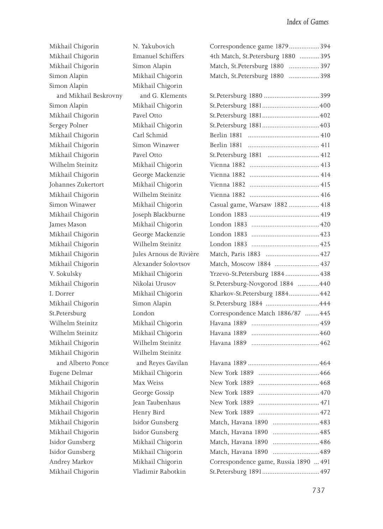| Mikhail Chigorin      | N. Yakubovich            | Correspondence game 1879394           |  |
|-----------------------|--------------------------|---------------------------------------|--|
| Mikhail Chigorin      | <b>Emanuel Schiffers</b> | 4th Match, St.Petersburg 1880  395    |  |
| Mikhail Chigorin      | Simon Alapin             | Match, St.Petersburg 1880  397        |  |
| Simon Alapin          | Mikhail Chigorin         | Match, St.Petersburg 1880  398        |  |
| Simon Alapin          | Mikhail Chigorin         |                                       |  |
| and Mikhail Beskrovny | and G. Klements          |                                       |  |
| Simon Alapin          | Mikhail Chigorin         |                                       |  |
| Mikhail Chigorin      | Pavel Otto               |                                       |  |
| Sergey Polner         | Mikhail Chigorin         |                                       |  |
| Mikhail Chigorin      | Carl Schmid              |                                       |  |
| Mikhail Chigorin      | Simon Winawer            | Berlin 1881                           |  |
| Mikhail Chigorin      | Pavel Otto               |                                       |  |
| Wilhelm Steinitz      | Mikhail Chigorin         | Vienna 1882 ………………………………… 413         |  |
| Mikhail Chigorin      | George Mackenzie         |                                       |  |
| Johannes Zukertort    | Mikhail Chigorin         | Vienna 1882 ………………………………… 415         |  |
| Mikhail Chigorin      | Wilhelm Steinitz         | Vienna 1882 ………………………………… 416         |  |
| Simon Winawer         | Mikhail Chigorin         | Casual game, Warsaw 1882  418         |  |
| Mikhail Chigorin      | Joseph Blackburne        |                                       |  |
| James Mason           | Mikhail Chigorin         |                                       |  |
| Mikhail Chigorin      | George Mackenzie         |                                       |  |
| Mikhail Chigorin      | Wilhelm Steinitz         |                                       |  |
| Mikhail Chigorin      | Jules Arnous de Rivière  |                                       |  |
| Mikhail Chigorin      | Alexander Solovtsov      | Match, Moscow 1884  437               |  |
| V. Sokulsky           | Mikhail Chigorin         | Yrzevo-St. Petersburg 1884 438        |  |
| Mikhail Chigorin      | Nikolai Urusov           | St.Petersburg-Novgorod 1884 440       |  |
| I. Dorrer             | Mikhail Chigorin         | Kharkov-St.Petersburg 1884 442        |  |
| Mikhail Chigorin      | Simon Alapin             |                                       |  |
| St.Petersburg         | London                   | Correspondence Match 1886/87  445     |  |
| Wilhelm Steinitz      | Mikhail Chigorin         |                                       |  |
| Wilhelm Steinitz      | Mikhail Chigorin         |                                       |  |
| Mikhail Chigorin      | Wilhelm Steinitz         |                                       |  |
| Mikhail Chigorin      | Wilhelm Steinitz         |                                       |  |
| and Alberto Ponce     | and Reyes Gavilan        |                                       |  |
| Eugene Delmar         | Mikhail Chigorin         |                                       |  |
| Mikhail Chigorin      | Max Weiss                | New York 1889                         |  |
| Mikhail Chigorin      | George Gossip            |                                       |  |
| Mikhail Chigorin      | Jean Taubenhaus          |                                       |  |
| Mikhail Chigorin      | Henry Bird               | New York 1889                         |  |
| Mikhail Chigorin      | Isidor Gunsberg          | Match, Havana 1890 483                |  |
| Mikhail Chigorin      | Isidor Gunsberg          | Match, Havana 1890<br>485             |  |
| Isidor Gunsberg       | Mikhail Chigorin         | Match, Havana 1890                    |  |
| Isidor Gunsberg       | Mikhail Chigorin         | Match, Havana 1890 489                |  |
| Andrey Markov         | Mikhail Chigorin         | Correspondence game, Russia 1890  491 |  |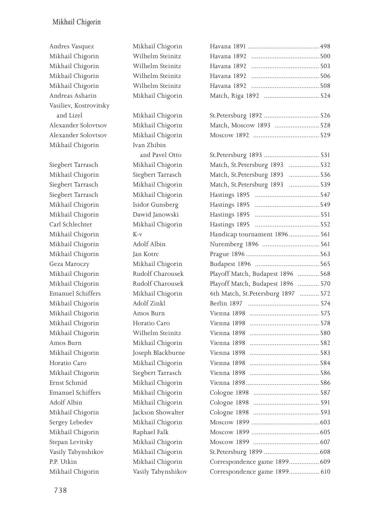#### *Mikhail Chigorin*

Andres Vasquez **Mikhail Chigorin** Mikhail Chigorin Wilhelm Steinitz Mikhail Chigorin Wilhelm Steinitz Havana 1892 ......................................503 Mikhail Chigorin Wilhelm Steinitz Mikhail Chigorin Wilhelm Steinitz Havana 1892 ......................................508 Andreas Asharin Mikhail Chigorin Vasiliev, Kostrovitsky and Lizel **Mikhail Chigorin** Alexander Solovtsov Mikhail Chigorin Alexander Solovtsov Mikhail Chigorin Mikhail Chigorin Ivan Zhibin Siegbert Tarrasch Mikhail Chigorin Mikhail Chigorin Siegbert Tarrasch Siegbert Tarrasch Mikhail Chigorin Siegbert Tarrasch Mikhail Chigorin Mikhail Chigorin 1sidor Gunsberg Mikhail Chigorin Dawid Janowski Carl Schlechter Mikhail Chigorin Mikhail Chigorin 1896. Mikhail Chigorin Adolf Albin Mikhail Chigorin Jan Kotrc Geza Maroczy Mikhail Chigorin Budapest 1896 ....................................565 Mikhail Chigorin Playoff Charousek Mikhail Chigorin Playoff Charousek Emanuel Schiffers Mikhail Chigorin Mikhail Chigorin and Adolf Zinkl Mikhail Chigorin Amos Burn Mikhail Chigorin Horatio Caro Mikhail Chigorin Wilhelm Steinitz Amos Burn Mikhail Chigorin Mikhail Chigorin Joseph Blackburne Horatio Caro **Mikhail Chigorin** Mikhail Chigorin Siegbert Tarrasch Ernst Schmid Mikhail Chigorin Emanuel Schiffers **Mikhail Chigorin** Adolf Albin Mikhail Chigorin Mikhail Chigorin Jackson Showalter Sergey Lebedev Mikhail Chigorin Mikhail Chigorin Raphael Falk Moscow 1899 ......................................605 Stepan Levitsky Mikhail Chigorin Vasily Tabynshikov Mikhail Chigorin P.P. Utkin Mikhail Chigorin Mikhail Chigorin Vasily Tabynshikov

and Pavel Otto

| Havana 1892                        |  |
|------------------------------------|--|
| Havana 1892                        |  |
| Havana 1892                        |  |
| Havana 1892                        |  |
|                                    |  |
|                                    |  |
|                                    |  |
| Match, Moscow 1893 528             |  |
|                                    |  |
|                                    |  |
| St.Petersburg 1893  531            |  |
| Match, St.Petersburg 1893  532     |  |
| Match, St.Petersburg 1893  536     |  |
| Match, St.Petersburg 1893  539     |  |
|                                    |  |
|                                    |  |
|                                    |  |
| Hastings 1895                      |  |
| Handicap tournament 1896 561       |  |
| Nuremberg 1896  561                |  |
|                                    |  |
|                                    |  |
| Playoff Match, Budapest 1896  568  |  |
| Playoff Match, Budapest 1896  570  |  |
| 6th Match, St.Petersburg 1897  572 |  |
|                                    |  |
| Vienna 1898                        |  |
| Vienna 1898                        |  |
| Vienna 1898                        |  |
| Vienna 1898                        |  |
| Vienna 1898                        |  |
| Vienna 1898                        |  |
| Vienna 1898                        |  |
|                                    |  |
| Cologne 1898                       |  |
|                                    |  |
| Cologne 1898                       |  |
|                                    |  |
|                                    |  |
| Moscow 1899                        |  |
|                                    |  |
| Correspondence game 1899609        |  |
| Correspondence game 1899 610       |  |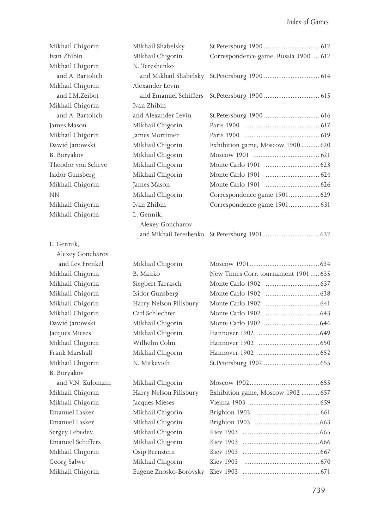| Mikhail Chigorin   | Mikhail Shabelsky      |                                       |  |
|--------------------|------------------------|---------------------------------------|--|
| Ivan Zhibin        | Mikhail Chigorin       | Correspondence game, Russia 1900  612 |  |
| Mikhail Chigorin   | N. Tereshenko          |                                       |  |
| and A. Bartolich   | and Mikhail Shabelsky  |                                       |  |
| Mikhail Chigorin   | Alexander Levin        |                                       |  |
| and I.M.Zeibot     | and Emanuel Schiffers  |                                       |  |
| Mikhail Chigorin   | Ivan Zhibin            |                                       |  |
| and A. Bartolich   | and Alexander Levin    |                                       |  |
| James Mason        | Mikhail Chigorin       |                                       |  |
| Mikhail Chigorin   | James Mortimer         |                                       |  |
| Dawid Janowski     | Mikhail Chigorin       | Exhibition game, Moscow 1900  620     |  |
| B. Boryakov        | Mikhail Chigorin       |                                       |  |
| Theodor von Scheve | Mikhail Chigorin       |                                       |  |
| Isidor Gunsberg    | Mikhail Chigorin       |                                       |  |
| Mikhail Chigorin   | James Mason            |                                       |  |
| ΝN                 | Mikhail Chigorin       | Correspondence game 1901 629          |  |
| Mikhail Chigorin   | Ivan Zhibin            | Correspondence game 1901 631          |  |
| Mikhail Chigorin   | L. Gennik,             |                                       |  |
|                    | Alexey Goncharov       |                                       |  |
|                    | and Mikhail Tereshenko |                                       |  |
| L. Gennik,         |                        |                                       |  |
| Alexey Goncharov   |                        |                                       |  |
|                    |                        |                                       |  |
| and Lev Frenkel    | Mikhail Chigorin       |                                       |  |
| Mikhail Chigorin   | B. Manko               | New Times Corr. tournament 1901  635  |  |
| Mikhail Chigorin   | Siegbert Tarrasch      |                                       |  |
| Mikhail Chigorin   | Isidor Gunsberg        |                                       |  |
| Mikhail Chigorin   | Harry Nelson Pillsbury |                                       |  |
| Mikhail Chigorin   | Carl Schlechter        |                                       |  |
| Dawid Janowski     | Mikhail Chigorin       |                                       |  |
| Jacques Mieses     | Mikhail Chigorin       |                                       |  |
| Mikhail Chigorin   | Wilhelm Cohn           |                                       |  |
| Frank Marshall     | Mikhail Chigorin       |                                       |  |
| Mikhail Chigorin   | N. Mitkevich           |                                       |  |
| B. Boryakov        |                        |                                       |  |
| and V.N. Kulomzin  | Mikhail Chigorin       |                                       |  |
| Mikhail Chigorin   | Harry Nelson Pillsbury | Exhibition game, Moscow 1902  657     |  |
| Mikhail Chigorin   | Jacques Mieses         |                                       |  |
| Emanuel Lasker     | Mikhail Chigorin       |                                       |  |
| Emanuel Lasker     | Mikhail Chigorin       |                                       |  |
| Sergey Lebedev     | Mikhail Chigorin       |                                       |  |
| Emanuel Schiffers  | Mikhail Chigorin       | Kiev 1903                             |  |
| Mikhail Chigorin   | Osip Bernstein         | Kiev 1903                             |  |
| Georg Salwe        | Mikhail Chigorin       | Kiev 1903                             |  |